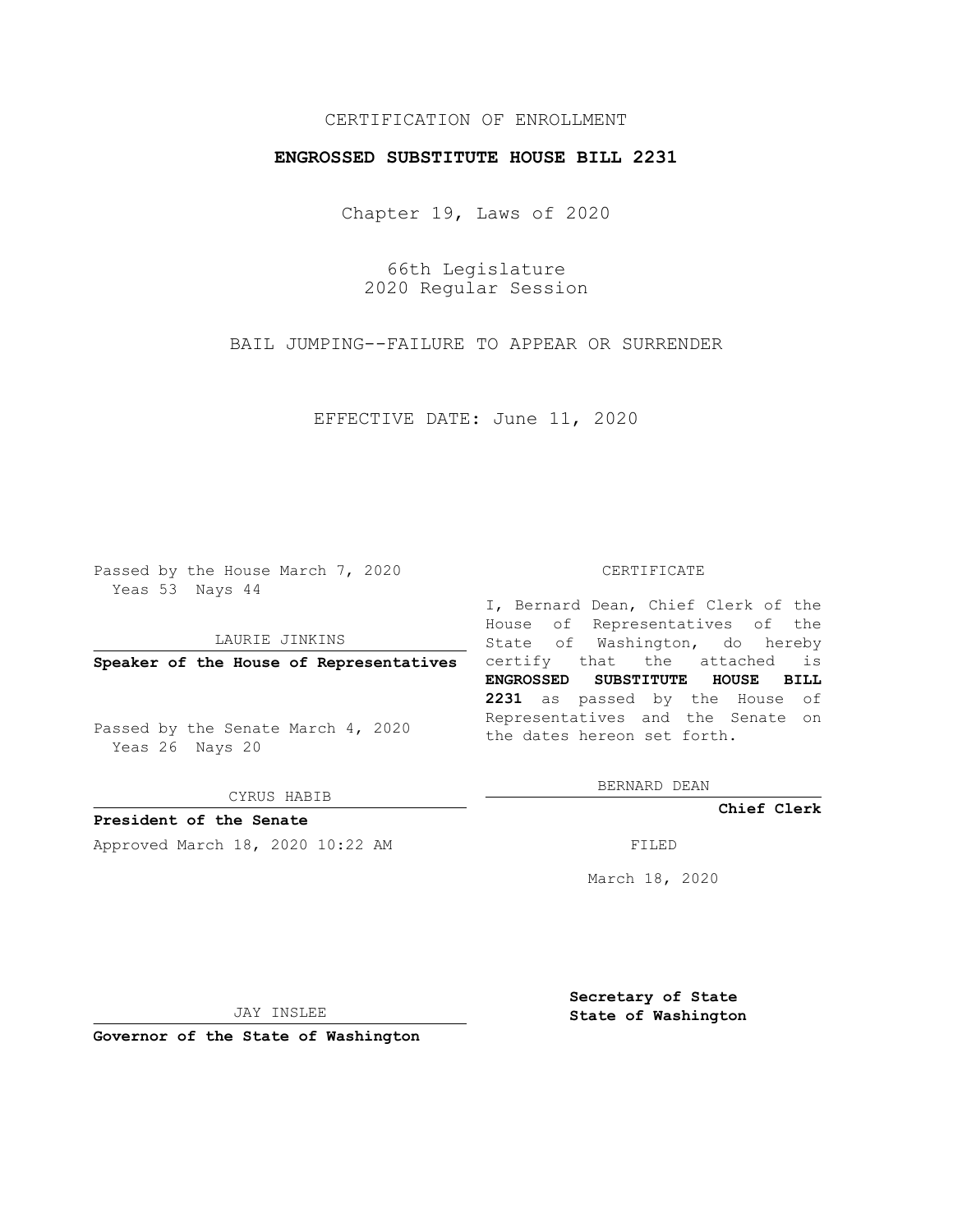## CERTIFICATION OF ENROLLMENT

### **ENGROSSED SUBSTITUTE HOUSE BILL 2231**

Chapter 19, Laws of 2020

66th Legislature 2020 Regular Session

BAIL JUMPING--FAILURE TO APPEAR OR SURRENDER

EFFECTIVE DATE: June 11, 2020

Passed by the House March 7, 2020 Yeas 53 Nays 44

LAURIE JINKINS

Passed by the Senate March 4, 2020 Yeas 26 Nays 20

CYRUS HABIB

**President of the Senate**

Approved March 18, 2020 10:22 AM FILED

#### CERTIFICATE

**Speaker of the House of Representatives** certify that the attached is I, Bernard Dean, Chief Clerk of the House of Representatives of the State of Washington, do hereby **ENGROSSED SUBSTITUTE HOUSE BILL 2231** as passed by the House of Representatives and the Senate on the dates hereon set forth.

BERNARD DEAN

**Chief Clerk**

March 18, 2020

JAY INSLEE

**Governor of the State of Washington**

**Secretary of State State of Washington**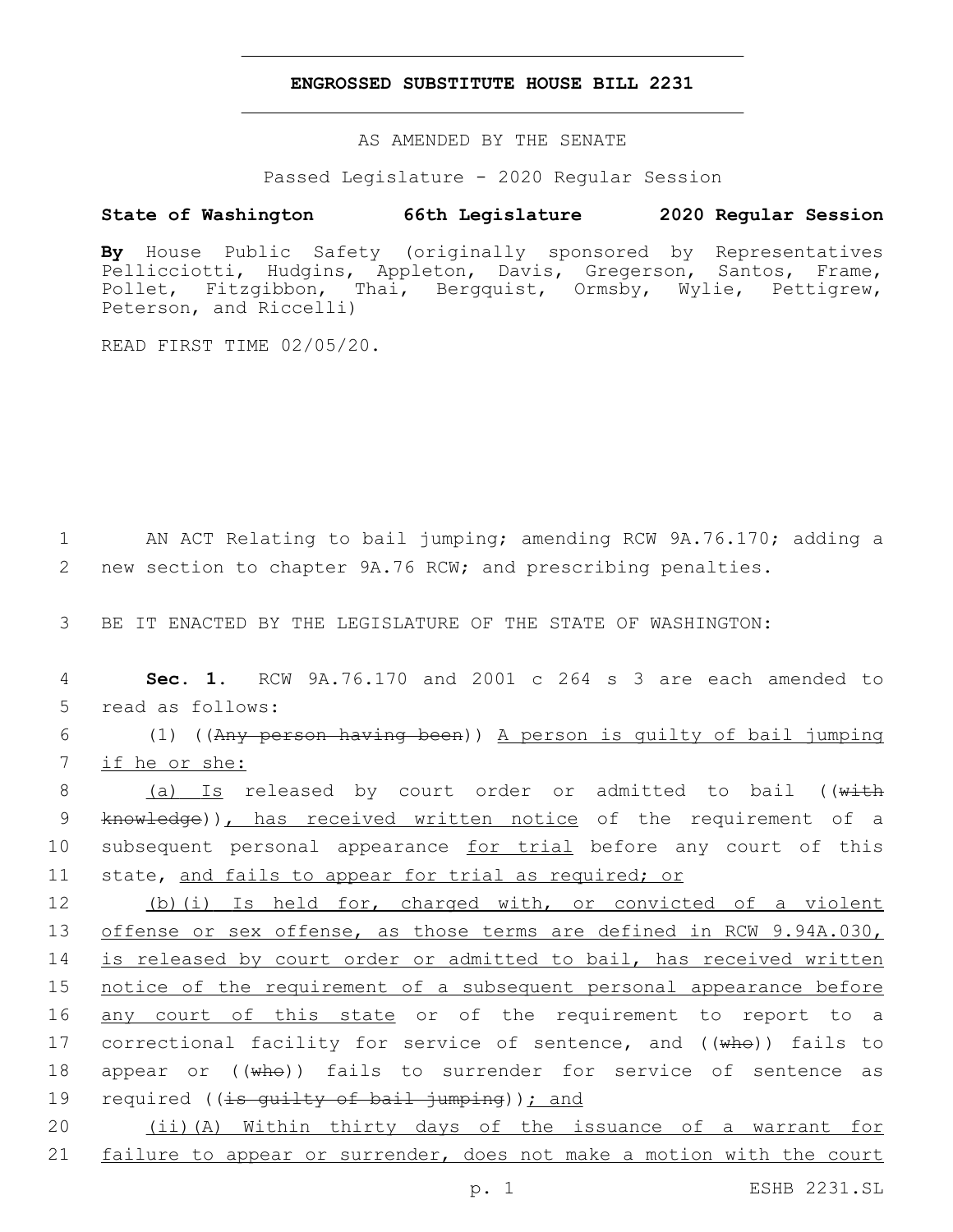### **ENGROSSED SUBSTITUTE HOUSE BILL 2231**

AS AMENDED BY THE SENATE

Passed Legislature - 2020 Regular Session

# **State of Washington 66th Legislature 2020 Regular Session**

**By** House Public Safety (originally sponsored by Representatives Pellicciotti, Hudgins, Appleton, Davis, Gregerson, Santos, Frame, Pollet, Fitzgibbon, Thai, Bergquist, Ormsby, Wylie, Pettigrew, Peterson, and Riccelli)

READ FIRST TIME 02/05/20.

1 AN ACT Relating to bail jumping; amending RCW 9A.76.170; adding a 2 new section to chapter 9A.76 RCW; and prescribing penalties.

3 BE IT ENACTED BY THE LEGISLATURE OF THE STATE OF WASHINGTON:

4 **Sec. 1.** RCW 9A.76.170 and 2001 c 264 s 3 are each amended to 5 read as follows:

6 (1) ((Any person having been)) A person is guilty of bail jumping 7 if he or she:

8 (a) Is released by court order or admitted to bail ((with 9 knowledge)), has received written notice of the requirement of a 10 subsequent personal appearance for trial before any court of this 11 state, and fails to appear for trial as required; or

12 (b)(i) Is held for, charged with, or convicted of a violent 13 offense or sex offense, as those terms are defined in RCW 9.94A.030, 14 is released by court order or admitted to bail, has received written 15 notice of the requirement of a subsequent personal appearance before 16 <u>any court of this state</u> or of the requirement to report to a 17 correctional facility for service of sentence, and ((who)) fails to 18 appear or  $((\overline{wh}\Theta))$  fails to surrender for service of sentence as 19 required ((is guilty of bail jumping)); and

20 (ii)(A) Within thirty days of the issuance of a warrant for 21 failure to appear or surrender, does not make a motion with the court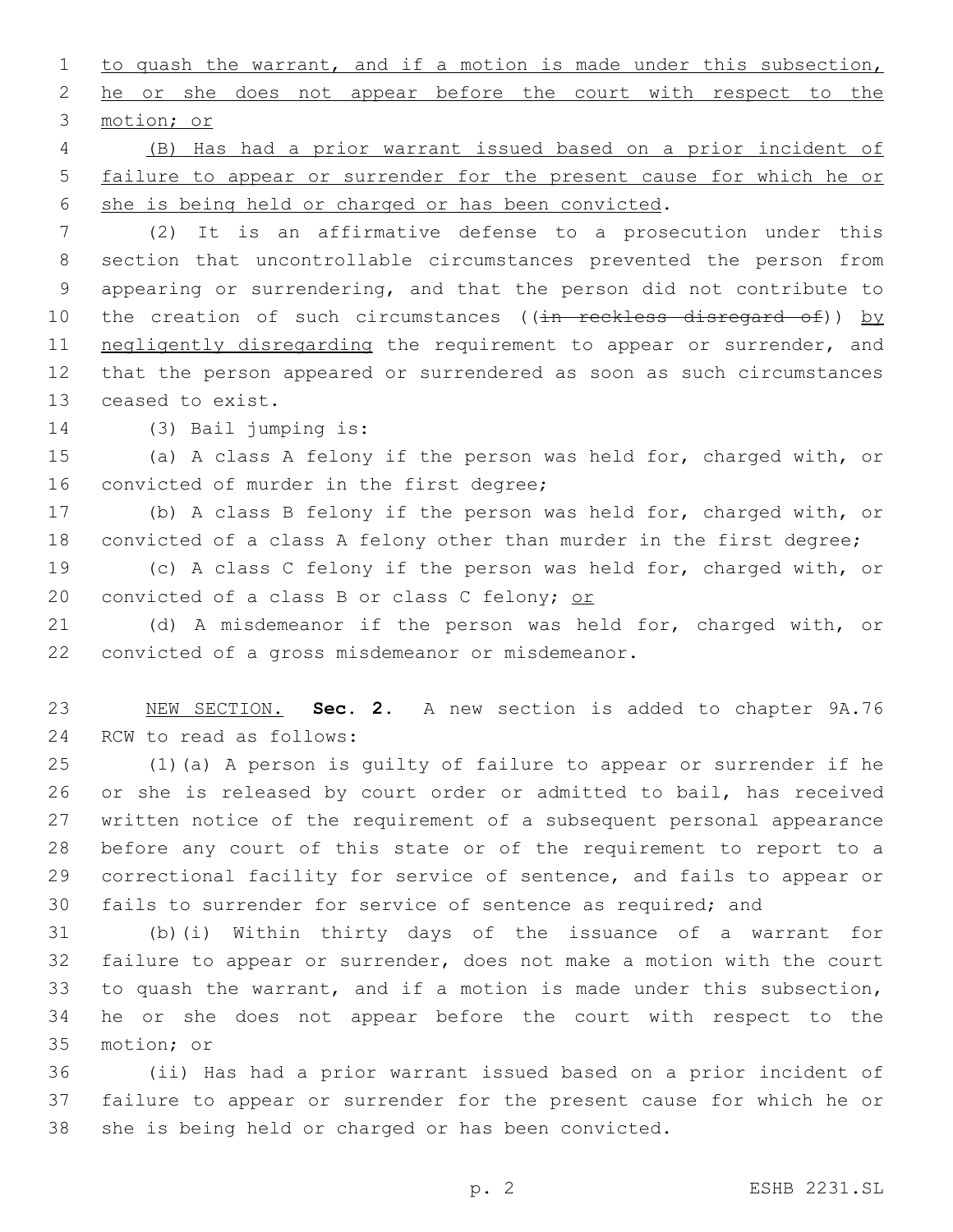1 to quash the warrant, and if a motion is made under this subsection, 2 he or she does not appear before the court with respect to the 3 motion; or

 (B) Has had a prior warrant issued based on a prior incident of failure to appear or surrender for the present cause for which he or she is being held or charged or has been convicted.

 (2) It is an affirmative defense to a prosecution under this section that uncontrollable circumstances prevented the person from appearing or surrendering, and that the person did not contribute to 10 the creation of such circumstances ((in reckless disregard of)) by 11 negligently disregarding the requirement to appear or surrender, and that the person appeared or surrendered as soon as such circumstances 13 ceased to exist.

14 (3) Bail jumping is:

 (a) A class A felony if the person was held for, charged with, or 16 convicted of murder in the first degree;

 (b) A class B felony if the person was held for, charged with, or convicted of a class A felony other than murder in the first degree;

 (c) A class C felony if the person was held for, charged with, or 20 convicted of a class B or class C felony; or

 (d) A misdemeanor if the person was held for, charged with, or 22 convicted of a gross misdemeanor or misdemeanor.

 NEW SECTION. **Sec. 2.** A new section is added to chapter 9A.76 24 RCW to read as follows:

 (1)(a) A person is guilty of failure to appear or surrender if he or she is released by court order or admitted to bail, has received written notice of the requirement of a subsequent personal appearance before any court of this state or of the requirement to report to a correctional facility for service of sentence, and fails to appear or fails to surrender for service of sentence as required; and

 (b)(i) Within thirty days of the issuance of a warrant for failure to appear or surrender, does not make a motion with the court to quash the warrant, and if a motion is made under this subsection, he or she does not appear before the court with respect to the 35 motion; or

 (ii) Has had a prior warrant issued based on a prior incident of failure to appear or surrender for the present cause for which he or she is being held or charged or has been convicted.